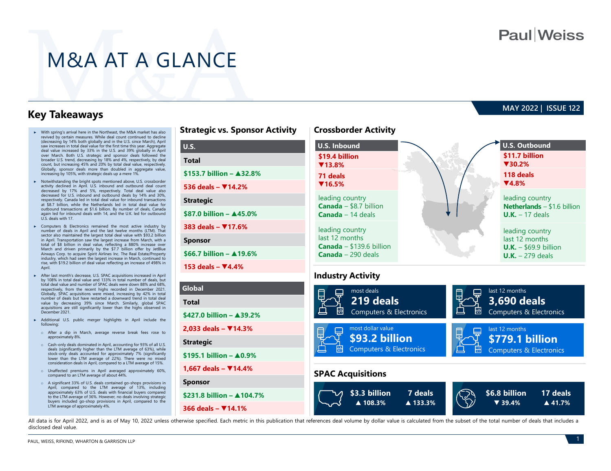# **Paul**Weiss

# M&A AT A GLANCE

### **Key Takeaways**

- ► With spring's arrival here in the Northeast, the M&A market has also revived by certain measures. While deal count continued to decline (decreasing by 14% both globally and in the U.S. since March), April saw increases in total deal value for the first time this year. Aggregate deal value increased by 33% in the U.S. and 39% globally in April over March. Both U.S. strategic and sponsor deals followed the broader U.S. trend, decreasing by 18% and 4%, respectively, by deal count, but increasing 45% and 20% by total deal value, respectively. Globally, sponsor deals more than doubled in aggregate value, increasing by 105%, with strategic deals up a mere 1%.
- ► Notwithstanding the bright spots mentioned above, U.S. crossborder activity declined in April. U.S. inbound and outbound deal count decreased by 17% and 5%, respectively. Total deal value also decreased for U.S. inbound and outbound deals by 14% and 30%, respectively. Canada led in total deal value for inbound transactions at \$8.7 billion, while the Netherlands led in total deal value for outbound transactions at \$1.6 billion. By number of deals, Canada again led for inbound deals with 14, and the U.K. led for outbound U.S. deals with 17.
- ► Computers & Electronics remained the most active industry by number of deals in April and the last twelve months (LTM). That sector also maintained the largest total deal value with \$93.2 billion in April. Transportation saw the largest increase from March, with a total of \$8 billion in deal value, reflecting a 880% increase over March and driven primarily by the \$7.7 billion offer by JetBlue Airways Corp. to acquire Spirit Airlines Inc. The Real Estate/Property industry, which had seen the largest increase in March, continued to rise, with \$19.2 billion of deal value reflecting an increase of 498% in **April.**
- ► After last month's decrease, U.S. SPAC acquisitions increased in April by 108% in total deal value and 133% in total number of deals, but total deal value and number of SPAC deals were down 88% and 68%, respectively, from the recent highs recorded in December 2021. Globally, SPAC acquisitions were mixed, increasing by 42% in total number of deals but have restarted a downward trend in total deal value by decreasing 39% since March. Similarly, global SPAC acquisitions are still significantly lower than the highs observed in December 2021.
- ► Additional U.S. public merger highlights in April include the following:
	- o After a dip in March, average reverse break fees rose to approximately 8%.
	- o Cash-only deals dominated in April, accounting for 93% of all U.S. deals (significantly higher than the LTM average of 63%), while stock-only deals accounted for approximately 7% (significantly lower than the LTM average of 22%). There were no mixed consideration deals in April, compared to a LTM average of 15%.
	- o Unaffected premiums in April averaged approximately 60%, compared to an LTM average of about 44%.
	- o A significant 33% of U.S. deals contained go-shops provisions in April, compared to the LTM average of 13%, including approximately 63% of U.S. deals with financial buyers compared to the LTM average of 36%. However, no deals involving strategic buyers included go-shop provisions in April, compared to the LTM average of approximately 4%.

#### **Industry Activity Strategic vs. Sponsor Activity Crossborder Activity** most deals  $\Box$   $\Box$  last 12 months most dollar value last  $\overline{a}$  ast 12 months **U.S. Inbound \$19.4 billion ▼13.8% 71 deals ▼16.5%** leading country **Canada** – \$8.7 billion **Canada** – 14 deals leading country last 12 months **Canada** – \$139.6 billion **Canada** – 290 deals **U.S. Outbound \$11.7 billion ▼30.2% 118 deals ▼4.8%** leading country **Netherlands** – \$1.6 billion **U.K.** – 17 deals leading country last 12 months **U.K.** – \$69.9 billion **U.K.** – 279 deals **U.S. Total \$153.7 billion – ▲32.8% 536 deals – ▼14.2% Strategic \$87.0 billion – ▲45.0% 383 deals – ▼17.6% Sponsor \$66.7 billion – ▲19.6% 153 deals – ▼4.4% Global Total \$427.0 billion – ▲39.2% 2,033 deals – ▼14.3% Strategic \$195.1 billion – ▲0.9% 219 deals** Computers & Electronics **3,690 deals** Computers & Electronics **\$93.2 billion** Computers & Electronics **\$779.1 billion** Computers & Electronics

### **SPAC Acquisitions**



All data is for April 2022, and is as of May 10, 2022 unless otherwise specified. Each metric in this publication that references deal volume by dollar value is calculated from the subset of the total number of deals that disclosed deal value.

**1,667 deals – ▼14.4%**

**366 deals – ▼14.1%**

**\$231.8 billion – ▲104.7%**

**Sponsor**

### **MAY 2022 | ISSUE 122**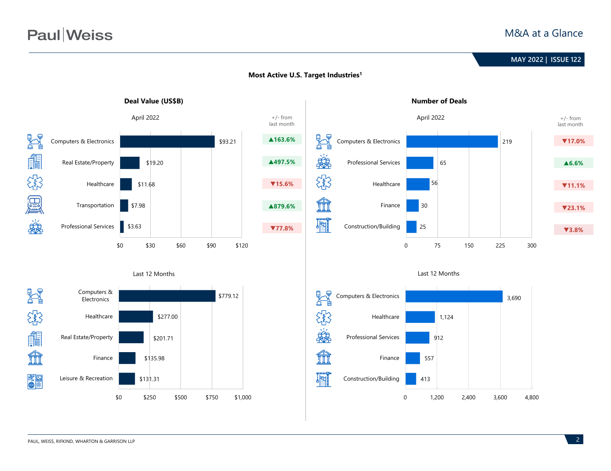# **Paul** Weiss

### M&A at a Glance





#### **Most Active U.S. Target Industries1**

PAUL, WEISS, RIFKIND, WHARTON & GARRISON LLP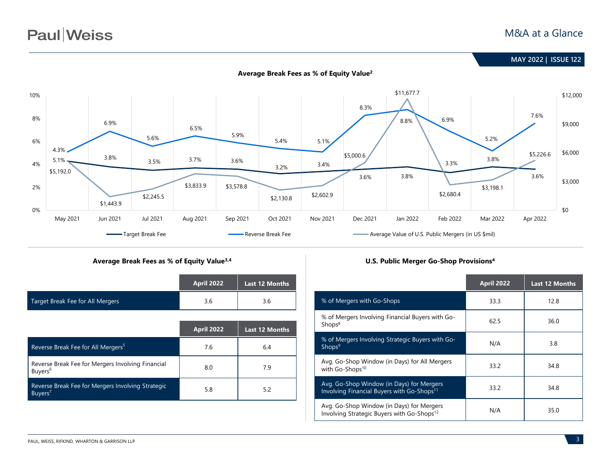# **Paul** Weiss

### M&A at a Glance





**Average Break Fees as % of Equity Value2**

|                                  | <b>April 2022</b> | <b>Last 12 Months</b> |
|----------------------------------|-------------------|-----------------------|
| Target Break Fee for All Mergers | 3.6               | 3.6                   |

|                                                                          | <b>April 2022</b> | <b>Last 12 Months</b> |
|--------------------------------------------------------------------------|-------------------|-----------------------|
| Reverse Break Fee for All Mergers <sup>5</sup>                           | 7.6               | 6.4                   |
| Reverse Break Fee for Mergers Involving Financial<br>Buyers <sup>6</sup> | 8.0               | 7.9                   |
| Reverse Break Fee for Mergers Involving Strategic<br>Buvers'             | 5.8               | 5.2                   |

#### **Average Break Fees as % of Equity Value3,4 U.S. Public Merger Go-Shop Provisions4**

|                                                                                                     | <b>April 2022</b> | <b>Last 12 Months</b> |
|-----------------------------------------------------------------------------------------------------|-------------------|-----------------------|
| % of Mergers with Go-Shops                                                                          | 33.3              | 12.8                  |
| % of Mergers Involving Financial Buyers with Go-<br>Shops <sup>8</sup>                              | 62.5              | 36.0                  |
| % of Mergers Involving Strategic Buyers with Go-<br>Shops <sup>9</sup>                              | N/A               | 3.8                   |
| Avg. Go-Shop Window (in Days) for All Mergers<br>with Go-Shops <sup>10</sup>                        | 33.2              | 34.8                  |
| Avg. Go-Shop Window (in Days) for Mergers<br>Involving Financial Buyers with Go-Shops <sup>11</sup> | 33.2              | 34.8                  |
| Avg. Go-Shop Window (in Days) for Mergers<br>Involving Strategic Buyers with Go-Shops <sup>12</sup> | N/A               | 35.0                  |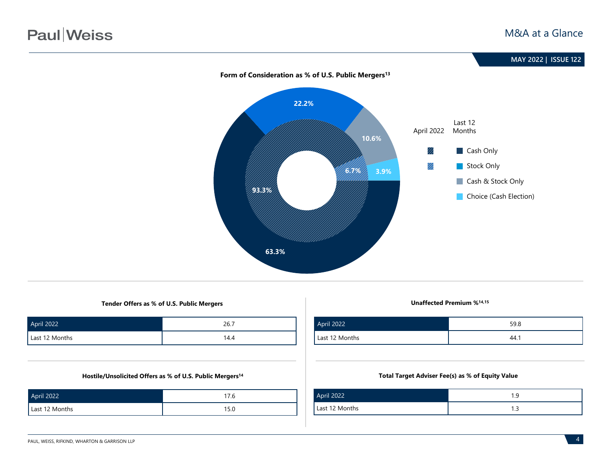

**Tender Offers as % of U.S. Public Mergers Unaffected Premium %14,15**

| <b>April 2022</b> | 26.7 |
|-------------------|------|
| Last 12 Months    | 14.4 |

#### **Hostile/Unsolicited Offers as % of U.S. Public Mergers14**

| April 2022     | 17.6 |
|----------------|------|
| Last 12 Months | 15.0 |

| April 2022     | 59.8 |
|----------------|------|
| Last 12 Months | 44.1 |

#### **Total Target Adviser Fee(s) as % of Equity Value**

| April 2022     | . |
|----------------|---|
| Last 12 Months |   |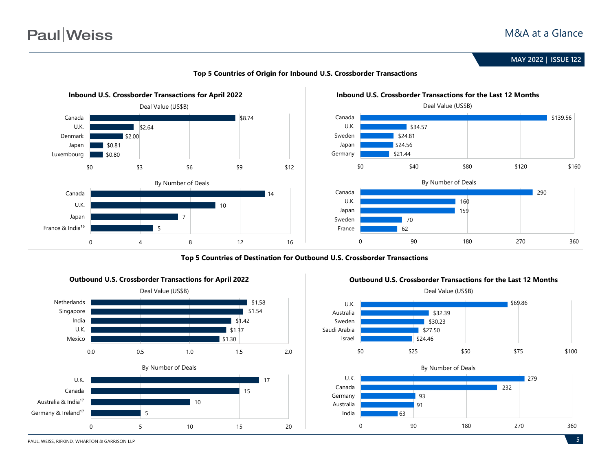

#### **Top 5 Countries of Origin for Inbound U.S. Crossborder Transactions**



**Top 5 Countries of Destination for Outbound U.S. Crossborder Transactions**



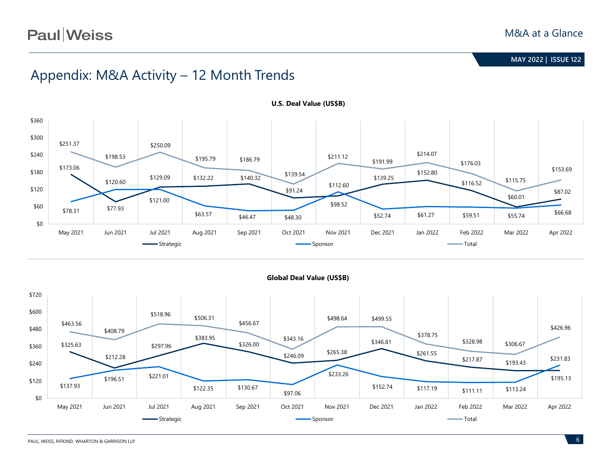# Appendix: M&A Activity – 12 Month Trends



**U.S. Deal Value (US\$B)**



**Global Deal Value (US\$B)**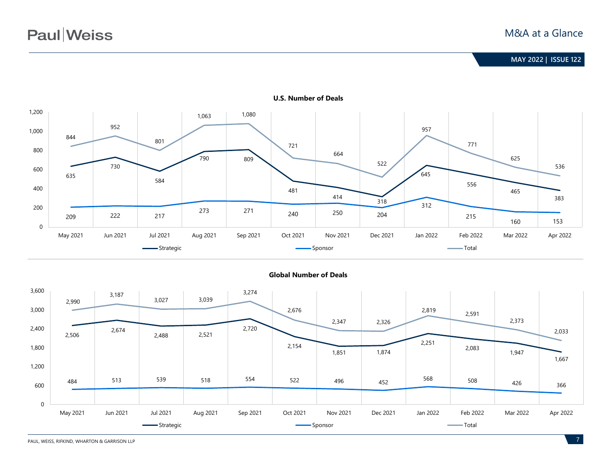

**U.S. Number of Deals**



#### **Global Number of Deals**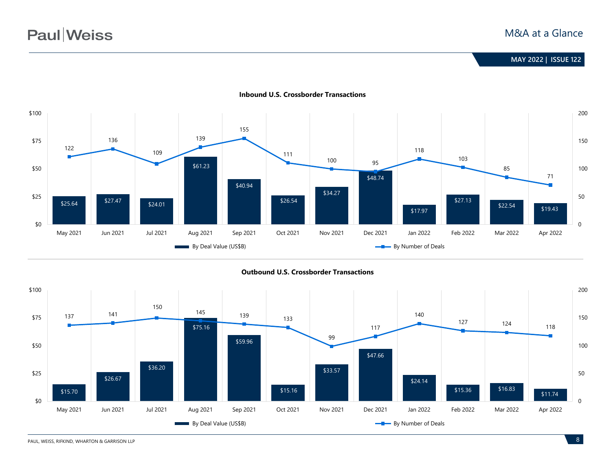

**Inbound U.S. Crossborder Transactions**





PAUL, WEISS, RIFKIND, WHARTON & GARRISON LLP **8**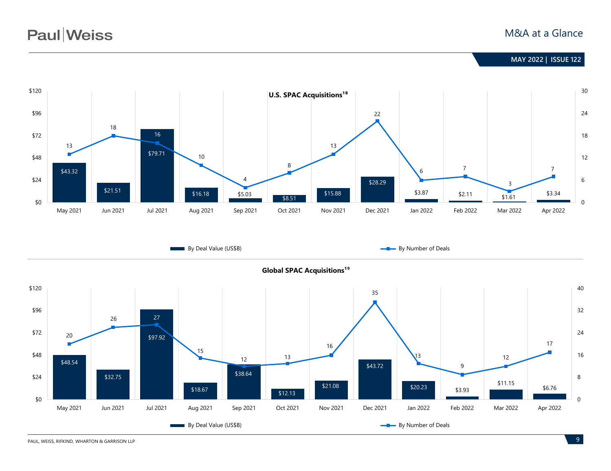# **Paul** Weiss

### M&A at a Glance

# **June 2020 | ISSUE 99 MAY 2022 | ISSUE 122**



PAUL, WEISS, RIFKIND, WHARTON & GARRISON LLP **9**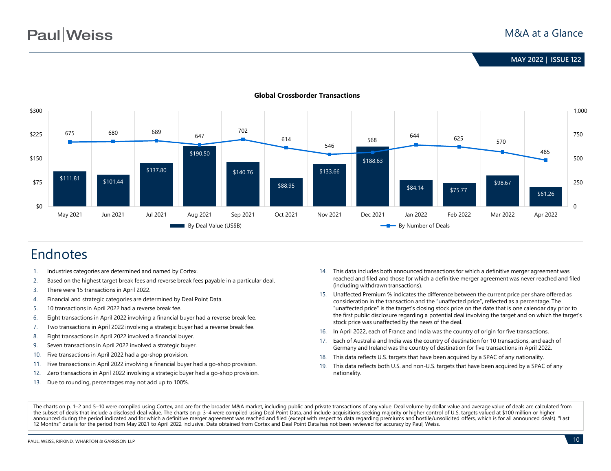

#### **Global Crossborder Transactions**

# Endnotes

- 1. Industries categories are determined and named by Cortex.
- 2. Based on the highest target break fees and reverse break fees payable in a particular deal.
- 3. There were 15 transactions in April 2022.
- 4. Financial and strategic categories are determined by Deal Point Data.
- 5. 10 transactions in April 2022 had a reverse break fee.
- 6. Eight transactions in April 2022 involving a financial buyer had a reverse break fee.
- 7. Two transactions in April 2022 involving a strategic buyer had a reverse break fee.
- 8. Eight transactions in April 2022 involved a financial buyer.
- 9. Seven transactions in April 2022 involved a strategic buyer.
- 10. Five transactions in April 2022 had a go-shop provision.
- 11. Five transactions in April 2022 involving a financial buyer had a go-shop provision.
- 12. Zero transactions in April 2022 involving a strategic buyer had a go-shop provision.
- 13. Due to rounding, percentages may not add up to 100%.
- 14. This data includes both announced transactions for which a definitive merger agreement was reached and filed and those for which a definitive merger agreement was never reached and filed (including withdrawn transactions).
- 15. Unaffected Premium % indicates the difference between the current price per share offered as consideration in the transaction and the "unaffected price", reflected as a percentage. The "unaffected price" is the target's closing stock price on the date that is one calendar day prior to the first public disclosure regarding a potential deal involving the target and on which the target's stock price was unaffected by the news of the deal.
- 16. In April 2022, each of France and India was the country of origin for five transactions.
- 17. Each of Australia and India was the country of destination for 10 transactions, and each of Germany and Ireland was the country of destination for five transactions in April 2022.
- 18. This data reflects U.S. targets that have been acquired by a SPAC of any nationality.
- 19. This data reflects both U.S. and non-U.S. targets that have been acquired by a SPAC of any nationality.

The charts on p. 1–2 and 5–10 were compiled using Cortex, and are for the broader M&A market, including public and private transactions of any value. Deal volume by dollar value and average value of deals are calculated fr the subset of deals that include a disclosed deal value. The charts on p. 3–4 were compiled using Deal Point Data, and include acquisitions seeking majority or higher control of U.S. targets valued at \$100 million or higher announced during the period indicated and for which a definitive merger agreement was reached and filed (except with respect to data regarding premiums and hostile/unsolicited offers, which is for all announced deals). "La 12 Months" data is for the period from May 2021 to April 2022 inclusive. Data obtained from Cortex and Deal Point Data has not been reviewed for accuracy by Paul, Weiss.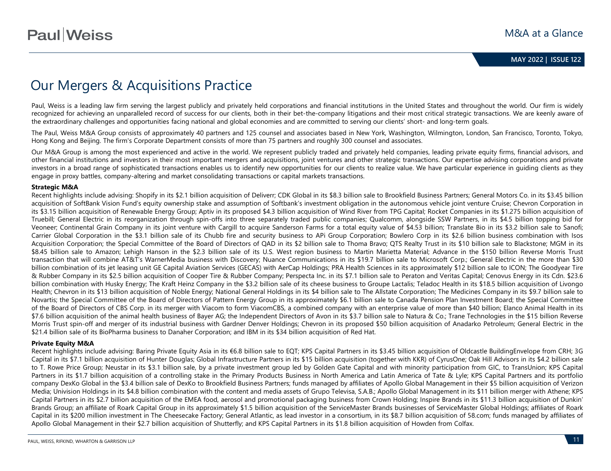# Our Mergers & Acquisitions Practice

Paul, Weiss is a leading law firm serving the largest publicly and privately held corporations and financial institutions in the United States and throughout the world. Our firm is widely recognized for achieving an unparalleled record of success for our clients, both in their bet-the-company litigations and their most critical strategic transactions. We are keenly aware of the extraordinary challenges and opportunities facing national and global economies and are committed to serving our clients' short- and long-term goals.

The Paul, Weiss M&A Group consists of approximately 40 partners and 125 counsel and associates based in New York, Washington, Wilmington, London, San Francisco, Toronto, Tokyo, Hong Kong and Beijing. The firm's Corporate Department consists of more than 75 partners and roughly 300 counsel and associates.

Our M&A Group is among the most experienced and active in the world. We represent publicly traded and privately held companies, leading private equity firms, financial advisors, and other financial institutions and investors in their most important mergers and acquisitions, joint ventures and other strategic transactions. Our expertise advising corporations and private investors in a broad range of sophisticated transactions enables us to identify new opportunities for our clients to realize value. We have particular experience in guiding clients as they engage in proxy battles, company-altering and market consolidating transactions or capital markets transactions.

#### **Strategic M&A**

Recent highlights include advising: Shopify in its \$2.1 billion acquisition of Deliverr; CDK Global in its \$8.3 billion sale to Brookfield Business Partners; General Motors Co. in its \$3.45 billion acquisition of SoftBank Vision Fund's equity ownership stake and assumption of Softbank's investment obligation in the autonomous vehicle joint venture Cruise; Chevron Corporation in its \$3.15 billion acquisition of Renewable Energy Group; Aptiv in its proposed \$4.3 billion acquisition of Wind River from TPG Capital; Rocket Companies in its \$1.275 billion acquisition of Truebill; General Electric in its reorganization through spin-offs into three separately traded public companies; Qualcomm, alongside SSW Partners, in its \$4.5 billion topping bid for Veoneer; Continental Grain Company in its joint venture with Cargill to acquire Sanderson Farms for a total equity value of \$4.53 billion; Translate Bio in its \$3.2 billion sale to Sanofi; Carrier Global Corporation in the \$3.1 billion sale of its Chubb fire and security business to APi Group Corporation; Bowlero Corp in its \$2.6 billion business combination with Isos Acquisition Corporation; the Special Committee of the Board of Directors of QAD in its \$2 billion sale to Thoma Bravo; QTS Realty Trust in its \$10 billion sale to Blackstone; MGM in its \$8.45 billion sale to Amazon; Lehigh Hanson in the \$2.3 billion sale of its U.S. West region business to Martin Marietta Material; Advance in the \$150 billion Reverse Morris Trust transaction that will combine AT&T's WarnerMedia business with Discovery; Nuance Communications in its \$19.7 billion sale to Microsoft Corp.; General Electric in the more than \$30 billion combination of its jet leasing unit GE Capital Aviation Services (GECAS) with AerCap Holdings; PRA Health Sciences in its approximately \$12 billion sale to ICON; The Goodyear Tire & Rubber Company in its \$2.5 billion acquisition of Cooper Tire & Rubber Company; Perspecta Inc. in its \$7.1 billion sale to Peraton and Veritas Capital; Cenovus Energy in its Cdn. \$23.6 billion combination with Husky Energy; The Kraft Heinz Company in the \$3.2 billion sale of its cheese business to Groupe Lactalis; Teladoc Health in its \$18.5 billion acquisition of Livongo Health; Chevron in its \$13 billion acquisition of Noble Energy; National General Holdings in its \$4 billion sale to The Allstate Corporation; The Medicines Company in its \$9.7 billion sale to Novartis; the Special Committee of the Board of Directors of Pattern Energy Group in its approximately \$6.1 billion sale to Canada Pension Plan Investment Board; the Special Committee of the Board of Directors of CBS Corp. in its merger with Viacom to form ViacomCBS, a combined company with an enterprise value of more than \$40 billion; Elanco Animal Health in its \$7.6 billion acquisition of the animal health business of Bayer AG; the Independent Directors of Avon in its \$3.7 billion sale to Natura & Co.; Trane Technologies in the \$15 billion Reverse Morris Trust spin-off and merger of its industrial business with Gardner Denver Holdings; Chevron in its proposed \$50 billion acquisition of Anadarko Petroleum; General Electric in the \$21.4 billion sale of its BioPharma business to Danaher Corporation; and IBM in its \$34 billion acquisition of Red Hat.

#### **Private Equity M&A**

Recent highlights include advising: Baring Private Equity Asia in its €6.8 billion sale to EQT; KPS Capital Partners in its \$3.45 billion acquisition of Oldcastle BuildingEnvelope from CRH; 3G Capital in its \$7.1 billion acquisition of Hunter Douglas; Global Infrastructure Partners in its \$15 billion acquisition (together with KKR) of CyrusOne; Oak Hill Advisors in its \$4.2 billion sale to T. Rowe Price Group; Neustar in its \$3.1 billion sale, by a private investment group led by Golden Gate Capital and with minority participation from GIC, to TransUnion; KPS Capital Partners in its \$1.7 billion acquisition of a controlling stake in the Primary Products Business in North America and Latin America of Tate & Lyle; KPS Capital Partners and its portfolio company DexKo Global in the \$3.4 billion sale of DexKo to Brookfield Business Partners; funds managed by affiliates of Apollo Global Management in their \$5 billion acquisition of Verizon Media; Univision Holdings in its \$4.8 billion combination with the content and media assets of Grupo Televisa, S.A.B.; Apollo Global Management in its \$11 billion merger with Athene; KPS Capital Partners in its \$2.7 billion acquisition of the EMEA food, aerosol and promotional packaging business from Crown Holding; Inspire Brands in its \$11.3 billion acquisition of Dunkin' Brands Group; an affiliate of Roark Capital Group in its approximately \$1.5 billion acquisition of the ServiceMaster Brands businesses of ServiceMaster Global Holdings; affiliates of Roark Capital in its \$200 million investment in The Cheesecake Factory; General Atlantic, as lead investor in a consortium, in its \$8.7 billion acquisition of 58.com; funds managed by affiliates of Apollo Global Management in their \$2.7 billion acquisition of Shutterfly; and KPS Capital Partners in its \$1.8 billion acquisition of Howden from Colfax.